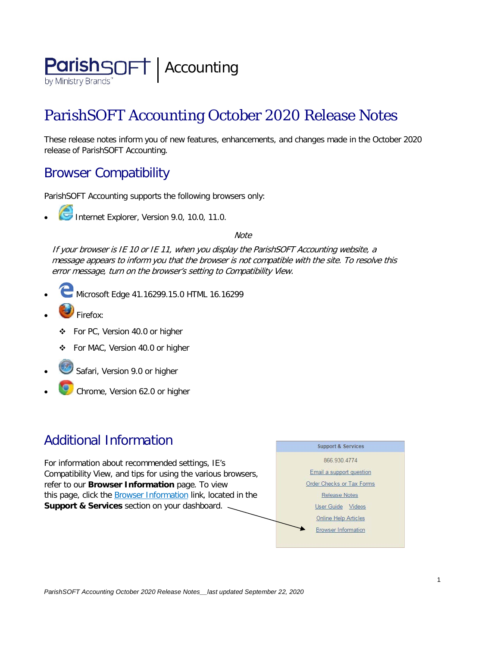

# ParishSOFT Accounting October 2020 Release Notes

These release notes inform you of new features, enhancements, and changes made in the October 2020 release of ParishSOFT Accounting.

## Browser Compatibility

ParishSOFT Accounting supports the following browsers only:

**• Internet Explorer, Version 9.0, 10.0, 11.0.** 

**Note** 

If your browser is IE 10 or IE 11, when you display the ParishSOFT Accounting website, a message appears to inform you that the browser is not compatible with the site. To resolve this error message, turn on the browser's setting to Compatibility View.

- Microsoft Edge 41.16299.15.0 HTML 16.16299
- Firefox:
	- ❖ For PC, Version 40.0 or higher
	- For MAC, Version 40.0 or higher
- Safari, Version 9.0 or higher
- Chrome, Version 62.0 or higher

# Additional Information

For information about recommended settings, IE's Compatibility View, and tips for using the various browsers, refer to our **Browser Information** page. To view this page, click the **Browser Information** link, located in the **Support & Services** section on your dashboard.

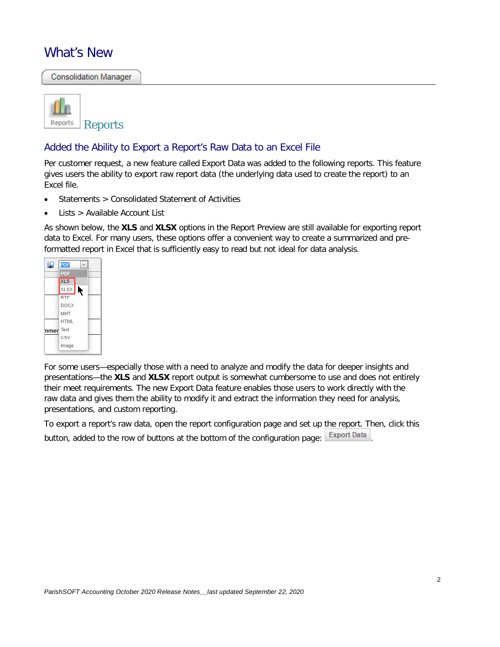### What's New

**Consolidation Manager** 



#### Added the Ability to Export a Report's Raw Data to an Excel File

Per customer request, a new feature called Export Data was added to the following reports. This feature gives users the ability to export raw report data (the underlying data used to create the report) to an Excel file.

- Statements > Consolidated Statement of Activities
- Lists > Available Account List

As shown below, the **XLS** and **XLSX** options in the Report Preview are still available for exporting report data to Excel. For many users, these options offer a convenient way to create a summarized and preformatted report in Excel that is sufficiently easy to read but not ideal for data analysis.



For some users—especially those with a need to analyze and modify the data for deeper insights and presentations—the **XLS** and **XLSX** report output is somewhat cumbersome to use and does not entirely their meet requirements. The new Export Data feature enables those users to work directly with the raw data and gives them the ability to modify it and extract the information they need for analysis, presentations, and custom reporting.

To export a report's raw data, open the report configuration page and set up the report. Then, click this button, added to the row of buttons at the bottom of the configuration page: Export Data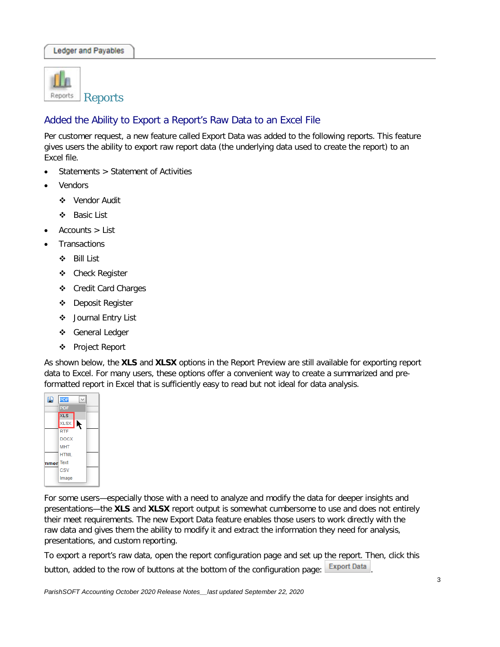

### Added the Ability to Export a Report's Raw Data to an Excel File

Per customer request, a new feature called Export Data was added to the following reports. This feature gives users the ability to export raw report data (the underlying data used to create the report) to an Excel file.

- Statements > Statement of Activities
- **Vendors** 
	- Vendor Audit
	- Basic List
- $Accounts$  > List
- **Transactions** 
	- Bill List
	- Check Register
	- Credit Card Charges
	- Deposit Register
	- Journal Entry List
	- General Ledger
	- Project Report

As shown below, the **XLS** and **XLSX** options in the Report Preview are still available for exporting report data to Excel. For many users, these options offer a convenient way to create a summarized and preformatted report in Excel that is sufficiently easy to read but not ideal for data analysis.



For some users—especially those with a need to analyze and modify the data for deeper insights and presentations—the **XLS** and **XLSX** report output is somewhat cumbersome to use and does not entirely their meet requirements. The new Export Data feature enables those users to work directly with the raw data and gives them the ability to modify it and extract the information they need for analysis, presentations, and custom reporting.

To export a report's raw data, open the report configuration page and set up the report. Then, click this button, added to the row of buttons at the bottom of the configuration page:  $\mathsf{Export\,Data}$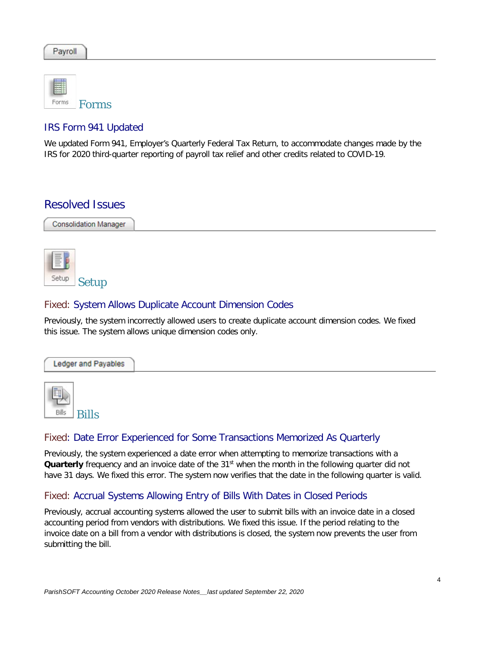| Payroll |
|---------|
|---------|

| orme | <b>Forms</b> |
|------|--------------|

#### IRS Form 941 Updated

We updated Form 941, Employer's Quarterly Federal Tax Return, to accommodate changes made by the IRS for 2020 third-quarter reporting of payroll tax relief and other credits related to COVID-19.

### Resolved Issues

**Consolidation Manager** 



#### Fixed: System Allows Duplicate Account Dimension Codes

Previously, the system incorrectly allowed users to create duplicate account dimension codes. We fixed this issue. The system allows unique dimension codes only.



#### Fixed: Date Error Experienced for Some Transactions Memorized As Quarterly

Previously, the system experienced a date error when attempting to memorize transactions with a Quarterly frequency and an invoice date of the 31<sup>st</sup> when the month in the following quarter did not have 31 days. We fixed this error. The system now verifies that the date in the following quarter is valid.

#### Fixed: Accrual Systems Allowing Entry of Bills With Dates in Closed Periods

Previously, accrual accounting systems allowed the user to submit bills with an invoice date in a closed accounting period from vendors with distributions. We fixed this issue. If the period relating to the invoice date on a bill from a vendor with distributions is closed, the system now prevents the user from submitting the bill.